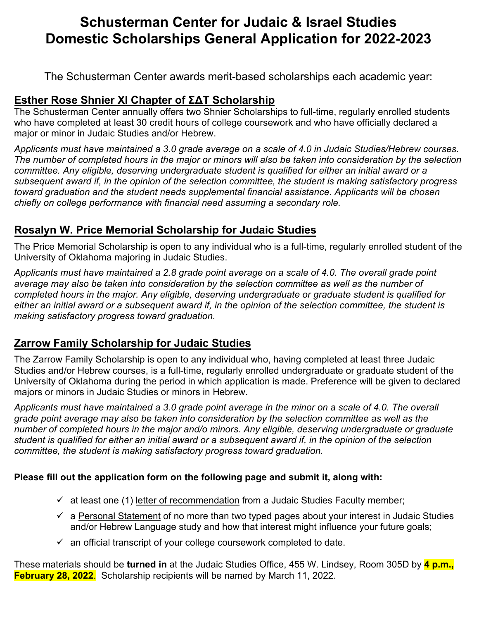# **Schusterman Center for Judaic & Israel Studies Domestic Scholarships General Application for 2022-2023**

The Schusterman Center awards merit-based scholarships each academic year:

## **Esther Rose Shnier XI Chapter of ΣΔΤ Scholarship**

The Schusterman Center annually offers two Shnier Scholarships to full-time, regularly enrolled students who have completed at least 30 credit hours of college coursework and who have officially declared a major or minor in Judaic Studies and/or Hebrew.

*Applicants must have maintained a 3.0 grade average on a scale of 4.0 in Judaic Studies/Hebrew courses. The number of completed hours in the major or minors will also be taken into consideration by the selection committee. Any eligible, deserving undergraduate student is qualified for either an initial award or a subsequent award if, in the opinion of the selection committee, the student is making satisfactory progress toward graduation and the student needs supplemental financial assistance. Applicants will be chosen chiefly on college performance with financial need assuming a secondary role.* 

## **Rosalyn W. Price Memorial Scholarship for Judaic Studies**

The Price Memorial Scholarship is open to any individual who is a full-time, regularly enrolled student of the University of Oklahoma majoring in Judaic Studies.

*Applicants must have maintained a 2.8 grade point average on a scale of 4.0. The overall grade point average may also be taken into consideration by the selection committee as well as the number of completed hours in the major. Any eligible, deserving undergraduate or graduate student is qualified for either an initial award or a subsequent award if, in the opinion of the selection committee, the student is making satisfactory progress toward graduation.* 

## **Zarrow Family Scholarship for Judaic Studies**

The Zarrow Family Scholarship is open to any individual who, having completed at least three Judaic Studies and/or Hebrew courses, is a full-time, regularly enrolled undergraduate or graduate student of the University of Oklahoma during the period in which application is made. Preference will be given to declared majors or minors in Judaic Studies or minors in Hebrew.

*Applicants must have maintained a 3.0 grade point average in the minor on a scale of 4.0. The overall grade point average may also be taken into consideration by the selection committee as well as the number of completed hours in the major and/o minors. Any eligible, deserving undergraduate or graduate student is qualified for either an initial award or a subsequent award if, in the opinion of the selection committee, the student is making satisfactory progress toward graduation.* 

### **Please fill out the application form on the following page and submit it, along with:**

- $\checkmark$  at least one (1) letter of recommendation from a Judaic Studies Faculty member;
- $\checkmark$  a Personal Statement of no more than two typed pages about your interest in Judaic Studies and/or Hebrew Language study and how that interest might influence your future goals;
- $\checkmark$  an official transcript of your college coursework completed to date.

These materials should be **turned in** at the Judaic Studies Office, 455 W. Lindsey, Room 305D by **4 p.m., February 28, 2022**. Scholarship recipients will be named by March 11, 2022.